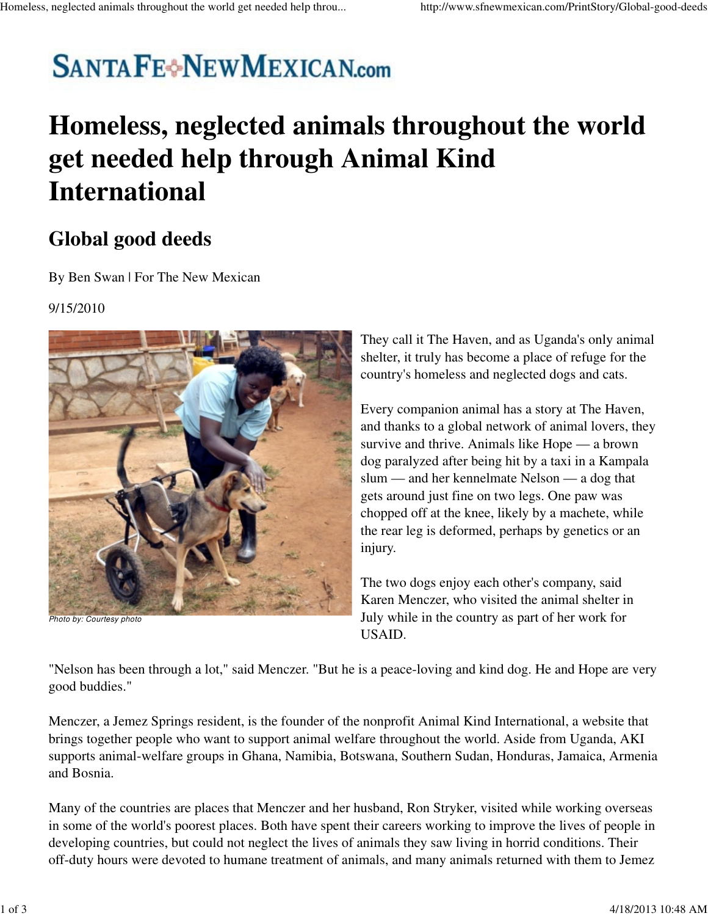# **SANTAFE**<sup>+</sup>NEWMEXICAN.com

## **Homeless, neglected animals throughout the world get needed help through Animal Kind International**

### **Global good deeds**

By Ben Swan | For The New Mexican

### 9/15/2010



Photo by: Courtesy photo

They call it The Haven, and as Uganda's only animal shelter, it truly has become a place of refuge for the country's homeless and neglected dogs and cats.

Every companion animal has a story at The Haven, and thanks to a global network of animal lovers, they survive and thrive. Animals like Hope — a brown dog paralyzed after being hit by a taxi in a Kampala slum — and her kennelmate Nelson — a dog that gets around just fine on two legs. One paw was chopped off at the knee, likely by a machete, while the rear leg is deformed, perhaps by genetics or an injury.

The two dogs enjoy each other's company, said Karen Menczer, who visited the animal shelter in July while in the country as part of her work for USAID.

"Nelson has been through a lot," said Menczer. "But he is a peace-loving and kind dog. He and Hope are very good buddies."

Menczer, a Jemez Springs resident, is the founder of the nonprofit Animal Kind International, a website that brings together people who want to support animal welfare throughout the world. Aside from Uganda, AKI supports animal-welfare groups in Ghana, Namibia, Botswana, Southern Sudan, Honduras, Jamaica, Armenia and Bosnia.

Many of the countries are places that Menczer and her husband, Ron Stryker, visited while working overseas in some of the world's poorest places. Both have spent their careers working to improve the lives of people in developing countries, but could not neglect the lives of animals they saw living in horrid conditions. Their off-duty hours were devoted to humane treatment of animals, and many animals returned with them to Jemez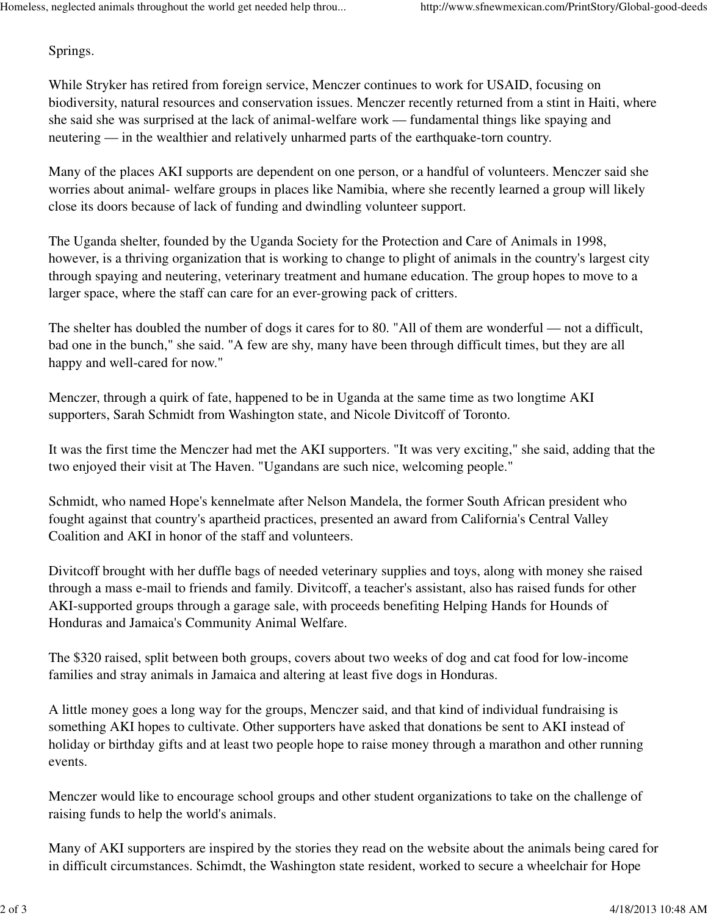Springs.

While Stryker has retired from foreign service, Menczer continues to work for USAID, focusing on biodiversity, natural resources and conservation issues. Menczer recently returned from a stint in Haiti, where she said she was surprised at the lack of animal-welfare work — fundamental things like spaying and neutering — in the wealthier and relatively unharmed parts of the earthquake-torn country.

Many of the places AKI supports are dependent on one person, or a handful of volunteers. Menczer said she worries about animal- welfare groups in places like Namibia, where she recently learned a group will likely close its doors because of lack of funding and dwindling volunteer support.

The Uganda shelter, founded by the Uganda Society for the Protection and Care of Animals in 1998, however, is a thriving organization that is working to change to plight of animals in the country's largest city through spaying and neutering, veterinary treatment and humane education. The group hopes to move to a larger space, where the staff can care for an ever-growing pack of critters.

The shelter has doubled the number of dogs it cares for to 80. "All of them are wonderful — not a difficult, bad one in the bunch," she said. "A few are shy, many have been through difficult times, but they are all happy and well-cared for now."

Menczer, through a quirk of fate, happened to be in Uganda at the same time as two longtime AKI supporters, Sarah Schmidt from Washington state, and Nicole Divitcoff of Toronto.

It was the first time the Menczer had met the AKI supporters. "It was very exciting," she said, adding that the two enjoyed their visit at The Haven. "Ugandans are such nice, welcoming people."

Schmidt, who named Hope's kennelmate after Nelson Mandela, the former South African president who fought against that country's apartheid practices, presented an award from California's Central Valley Coalition and AKI in honor of the staff and volunteers.

Divitcoff brought with her duffle bags of needed veterinary supplies and toys, along with money she raised through a mass e-mail to friends and family. Divitcoff, a teacher's assistant, also has raised funds for other AKI-supported groups through a garage sale, with proceeds benefiting Helping Hands for Hounds of Honduras and Jamaica's Community Animal Welfare.

The \$320 raised, split between both groups, covers about two weeks of dog and cat food for low-income families and stray animals in Jamaica and altering at least five dogs in Honduras.

A little money goes a long way for the groups, Menczer said, and that kind of individual fundraising is something AKI hopes to cultivate. Other supporters have asked that donations be sent to AKI instead of holiday or birthday gifts and at least two people hope to raise money through a marathon and other running events.

Menczer would like to encourage school groups and other student organizations to take on the challenge of raising funds to help the world's animals.

Many of AKI supporters are inspired by the stories they read on the website about the animals being cared for in difficult circumstances. Schimdt, the Washington state resident, worked to secure a wheelchair for Hope